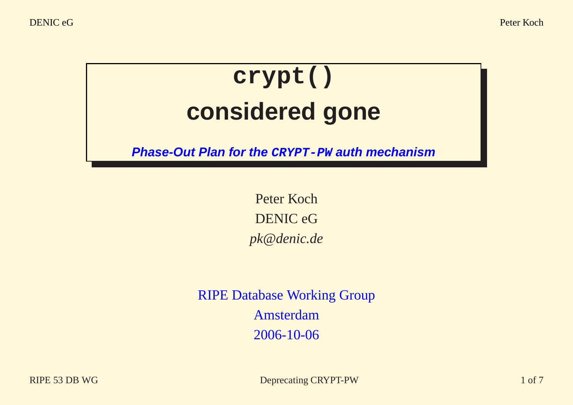DENIC eG Peter Koch

## **crypt() considered gone**

**Phase-Out Plan for the CRYPT-PW auth mechanism**

Peter Koch DENIC eG *pk@denic.de*

RIPE Database Working Group Amsterdam 2006-10-06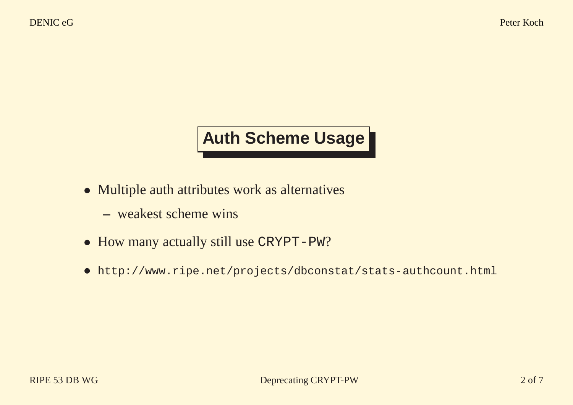## **Auth Scheme Usage**

- Multiple auth attributes work as alternatives
	- **–** weakest scheme wins
- How many actually still use CRYPT-PW?
- http://www.ripe.net/projects/dbconstat/stats-authcount.html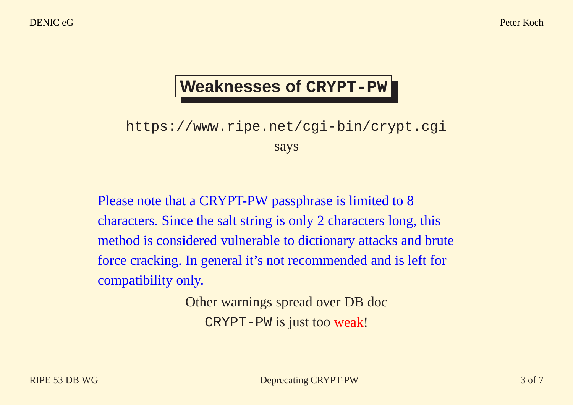#### **Weaknesses of CRYPT-PW**

#### https://www.ripe.net/cgi-bin/crypt.cgi says

Please note that <sup>a</sup> CRYPT-PW passphrase is limited to 8 characters. Since the salt string is only 2 characters long, this method is considered vulnerable to dictionary attacks and brute force cracking. In general it's not recommended and is left for compatibility only.

> Other warnings spread over DB doc CRYPT-PW is just too weak!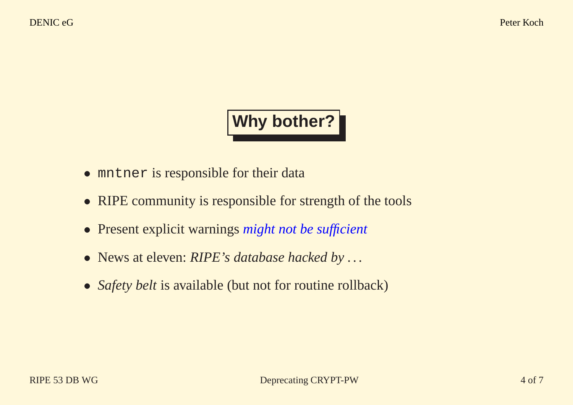### **Why bother?**

- mntner is responsible for their data
- RIPE community is responsible for strength of the tools
- Present explicit warnings *might not be sufficient*
- News at eleven: *RIPE's database hacked by . . .*
- *Safety belt* is available (but not for routine rollback)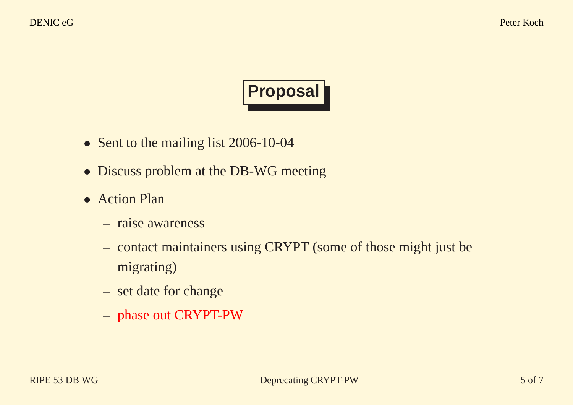# **Proposal**

- Sent to the mailing list 2006-10-04
- Discuss problem at the DB-WG meeting
- Action Plan
	- **–** raise awareness
	- **–** contact maintainers using CRYPT (some of those might just be migrating)
	- **–** set date for change
	- **–** <sup>p</sup>hase out CRYPT-PW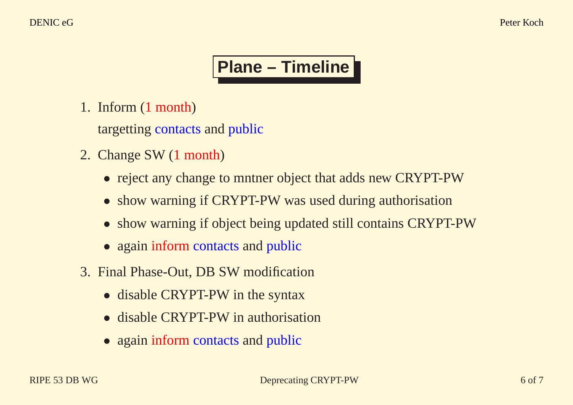## **Plane – Timeline**

1. Inform (1 month)

targetting contacts and public

- 2. Change SW (1 month)
	- reject any change to mntner object that adds new CRYPT-PW
	- show warning if CRYPT-PW was used during authorisation
	- show warning if object being updated still contains CRYPT-PW
	- again inform contacts and public
- 3. Final Phase-Out, DB SW modification
	- disable CRYPT-PW in the syntax
	- disable CRYPT-PW in authorisation
	- again inform contacts and public